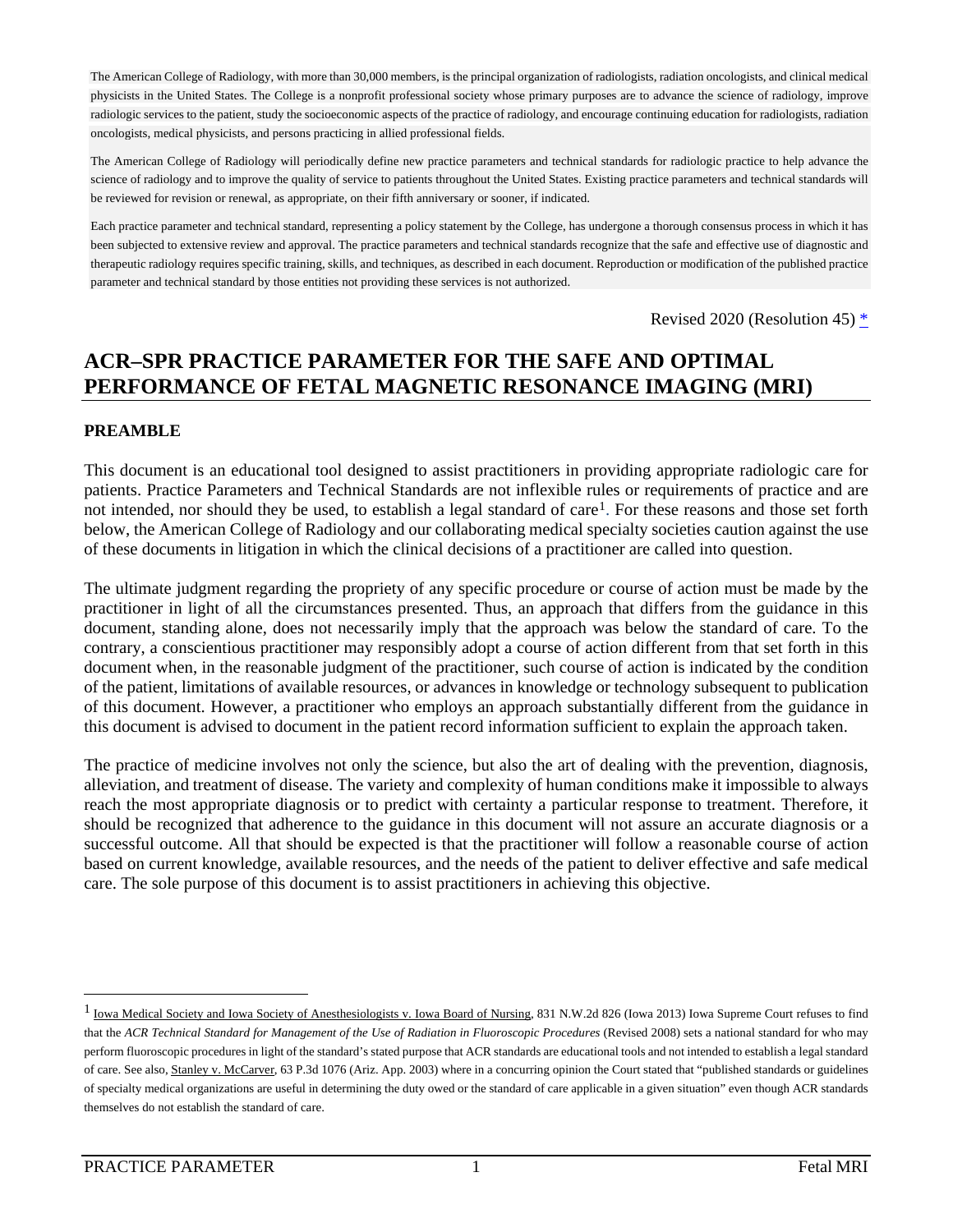The American College of Radiology, with more than 30,000 members, is the principal organization of radiologists, radiation oncologists, and clinical medical physicists in the United States. The College is a nonprofit professional society whose primary purposes are to advance the science of radiology, improve radiologic services to the patient, study the socioeconomic aspects of the practice of radiology, and encourage continuing education for radiologists, radiation oncologists, medical physicists, and persons practicing in allied professional fields.

The American College of Radiology will periodically define new practice parameters and technical standards for radiologic practice to help advance the science of radiology and to improve the quality of service to patients throughout the United States. Existing practice parameters and technical standards will be reviewed for revision or renewal, as appropriate, on their fifth anniversary or sooner, if indicated.

Each practice parameter and technical standard, representing a policy statement by the College, has undergone a thorough consensus process in which it has been subjected to extensive review and approval. The practice parameters and technical standards recognize that the safe and effective use of diagnostic and therapeutic radiology requires specific training, skills, and techniques, as described in each document. Reproduction or modification of the published practice parameter and technical standard by those entities not providing these services is not authorized.

Revised 2020 (Resolution 45) [\\*](#page-13-0)

# **ACR–SPR PRACTICE PARAMETER FOR THE SAFE AND OPTIMAL PERFORMANCE OF FETAL MAGNETIC RESONANCE IMAGING (MRI)**

#### **PREAMBLE**

This document is an educational tool designed to assist practitioners in providing appropriate radiologic care for patients. Practice Parameters and Technical Standards are not inflexible rules or requirements of practice and are not intended, nor should they be used, to establish a legal standard of care<sup>[1](#page-0-0)</sup>. For these reasons and those set forth below, the American College of Radiology and our collaborating medical specialty societies caution against the use of these documents in litigation in which the clinical decisions of a practitioner are called into question.

The ultimate judgment regarding the propriety of any specific procedure or course of action must be made by the practitioner in light of all the circumstances presented. Thus, an approach that differs from the guidance in this document, standing alone, does not necessarily imply that the approach was below the standard of care. To the contrary, a conscientious practitioner may responsibly adopt a course of action different from that set forth in this document when, in the reasonable judgment of the practitioner, such course of action is indicated by the condition of the patient, limitations of available resources, or advances in knowledge or technology subsequent to publication of this document. However, a practitioner who employs an approach substantially different from the guidance in this document is advised to document in the patient record information sufficient to explain the approach taken.

The practice of medicine involves not only the science, but also the art of dealing with the prevention, diagnosis, alleviation, and treatment of disease. The variety and complexity of human conditions make it impossible to always reach the most appropriate diagnosis or to predict with certainty a particular response to treatment. Therefore, it should be recognized that adherence to the guidance in this document will not assure an accurate diagnosis or a successful outcome. All that should be expected is that the practitioner will follow a reasonable course of action based on current knowledge, available resources, and the needs of the patient to deliver effective and safe medical care. The sole purpose of this document is to assist practitioners in achieving this objective.

<span id="page-0-0"></span><sup>&</sup>lt;sup>1</sup> Iowa Medical Society and Iowa Society of Anesthesiologists v. Iowa Board of Nursing, 831 N.W.2d 826 (Iowa 2013) Iowa Supreme Court refuses to find that the *ACR Technical Standard for Management of the Use of Radiation in Fluoroscopic Procedures* (Revised 2008) sets a national standard for who may perform fluoroscopic procedures in light of the standard's stated purpose that ACR standards are educational tools and not intended to establish a legal standard of care. See also, Stanley v. McCarver, 63 P.3d 1076 (Ariz. App. 2003) where in a concurring opinion the Court stated that "published standards or guidelines of specialty medical organizations are useful in determining the duty owed or the standard of care applicable in a given situation" even though ACR standards themselves do not establish the standard of care.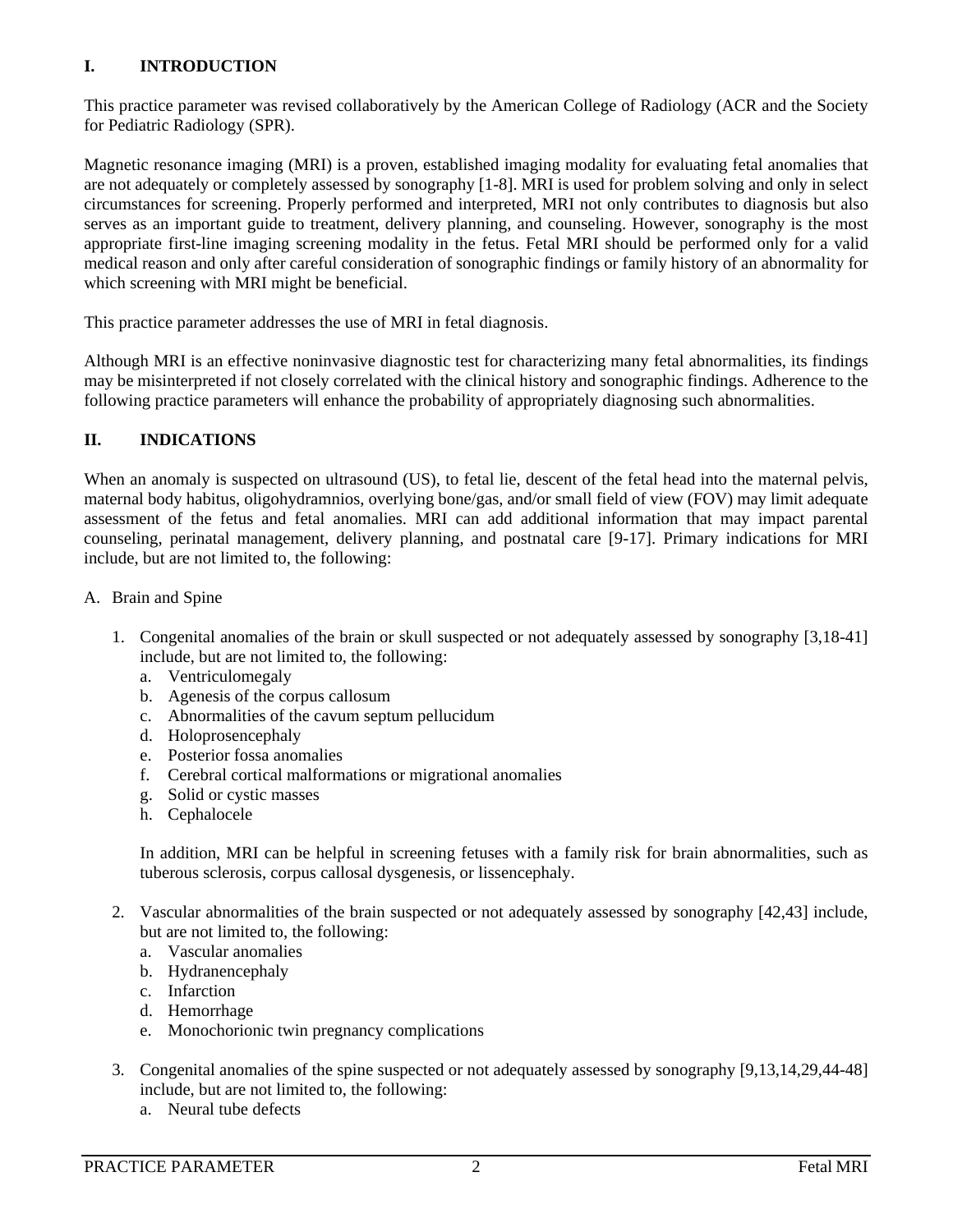## **I. INTRODUCTION**

This practice parameter was revised collaboratively by the American College of Radiology (ACR and the Society for Pediatric Radiology (SPR).

Magnetic resonance imaging (MRI) is a proven, established imaging modality for evaluating fetal anomalies that are not adequately or completely assessed by sonography [\[1-8\]](#page-8-0). MRI is used for problem solving and only in select circumstances for screening. Properly performed and interpreted, MRI not only contributes to diagnosis but also serves as an important guide to treatment, delivery planning, and counseling. However, sonography is the most appropriate first-line imaging screening modality in the fetus. Fetal MRI should be performed only for a valid medical reason and only after careful consideration of sonographic findings or family history of an abnormality for which screening with MRI might be beneficial.

This practice parameter addresses the use of MRI in fetal diagnosis.

Although MRI is an effective noninvasive diagnostic test for characterizing many fetal abnormalities, its findings may be misinterpreted if not closely correlated with the clinical history and sonographic findings. Adherence to the following practice parameters will enhance the probability of appropriately diagnosing such abnormalities.

## **II. INDICATIONS**

When an anomaly is suspected on ultrasound (US), to fetal lie, descent of the fetal head into the maternal pelvis, maternal body habitus, oligohydramnios, overlying bone/gas, and/or small field of view (FOV) may limit adequate assessment of the fetus and fetal anomalies. MRI can add additional information that may impact parental counseling, perinatal management, delivery planning, and postnatal care [\[9-17\]](#page-8-1). Primary indications for MRI include, but are not limited to, the following:

#### A. Brain and Spine

- 1. Congenital anomalies of the brain or skull suspected or not adequately assessed by sonography [\[3](#page-8-2)[,18-41\]](#page-9-0) include, but are not limited to, the following:
	- a. Ventriculomegaly
	- b. Agenesis of the corpus callosum
	- c. Abnormalities of the cavum septum pellucidum
	- d. Holoprosencephaly
	- e. Posterior fossa anomalies
	- f. Cerebral cortical malformations or migrational anomalies
	- g. Solid or cystic masses
	- h. Cephalocele

In addition, MRI can be helpful in screening fetuses with a family risk for brain abnormalities, such as tuberous sclerosis, corpus callosal dysgenesis, or lissencephaly.

- 2. Vascular abnormalities of the brain suspected or not adequately assessed by sonography [\[42,](#page-10-0)[43\]](#page-10-1) include, but are not limited to, the following:
	- a. Vascular anomalies
	- b. Hydranencephaly
	- c. Infarction
	- d. Hemorrhage
	- e. Monochorionic twin pregnancy complications
- 3. Congenital anomalies of the spine suspected or not adequately assessed by sonography [\[9,](#page-8-1)[13,](#page-9-1)[14,](#page-9-2)[29](#page-9-3)[,44-48\]](#page-10-2) include, but are not limited to, the following:
	- a. Neural tube defects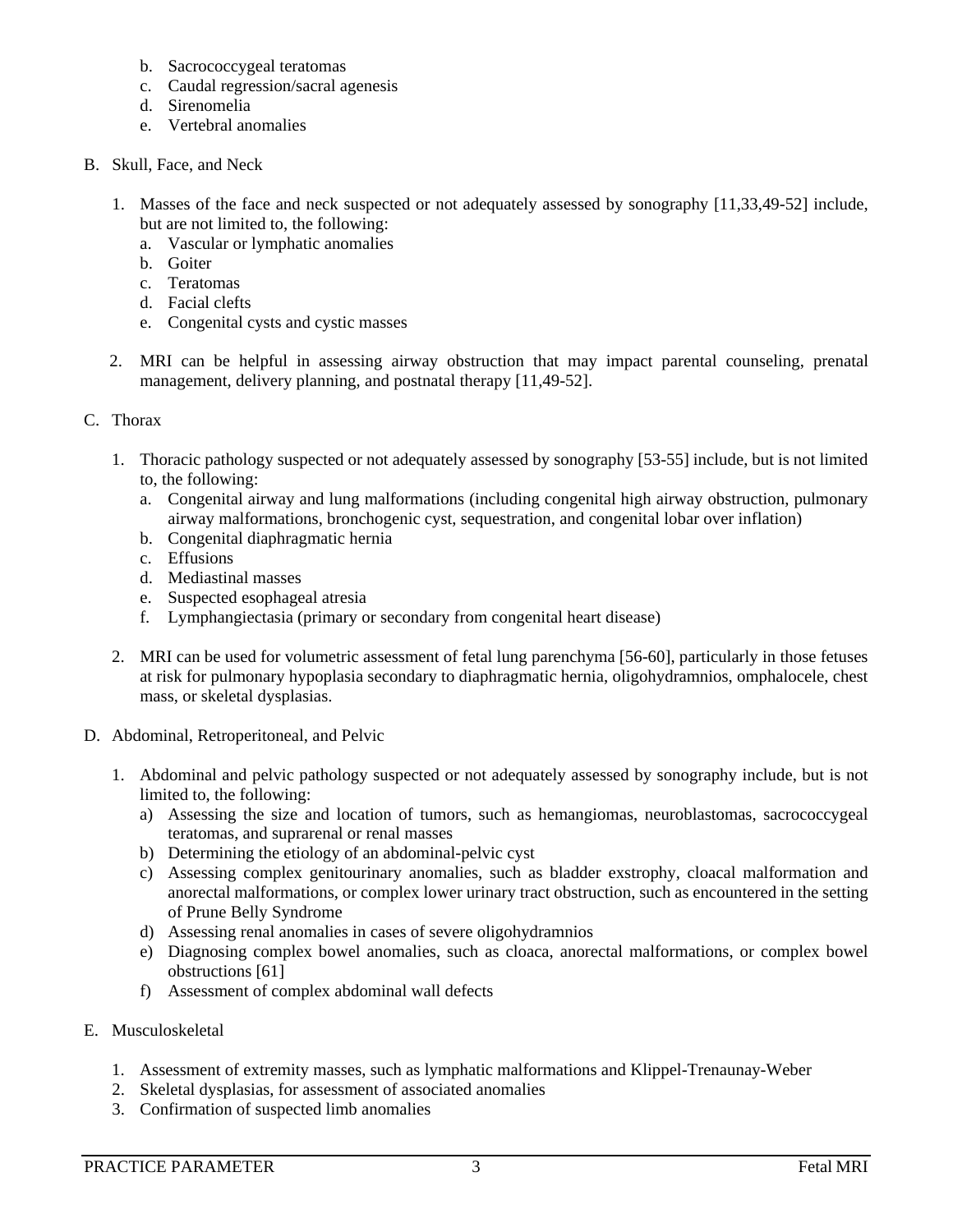- b. Sacrococcygeal teratomas
- c. Caudal regression/sacral agenesis
- d. Sirenomelia
- e. Vertebral anomalies
- B. Skull, Face, and Neck
	- 1. Masses of the face and neck suspected or not adequately assessed by sonography [\[11,](#page-8-3)[33,](#page-9-4)[49-52\]](#page-10-3) include, but are not limited to, the following:
		- a. Vascular or lymphatic anomalies
		- b. Goiter
		- c. Teratomas
		- d. Facial clefts
		- e. Congenital cysts and cystic masses
	- 2. MRI can be helpful in assessing airway obstruction that may impact parental counseling, prenatal management, delivery planning, and postnatal therapy [\[11](#page-8-3)[,49-52\]](#page-10-3).

#### C. Thorax

- 1. Thoracic pathology suspected or not adequately assessed by sonography [\[53-55\]](#page-10-4) include, but is not limited to, the following:
	- a. Congenital airway and lung malformations (including congenital high airway obstruction, pulmonary airway malformations, bronchogenic cyst, sequestration, and congenital lobar over inflation)
	- b. Congenital diaphragmatic hernia
	- c. Effusions
	- d. Mediastinal masses
	- e. Suspected esophageal atresia
	- f. Lymphangiectasia (primary or secondary from congenital heart disease)
- 2. MRI can be used for volumetric assessment of fetal lung parenchyma [\[56-60\]](#page-11-0), particularly in those fetuses at risk for pulmonary hypoplasia secondary to diaphragmatic hernia, oligohydramnios, omphalocele, chest mass, or skeletal dysplasias.
- D. Abdominal, Retroperitoneal, and Pelvic
	- 1. Abdominal and pelvic pathology suspected or not adequately assessed by sonography include, but is not limited to, the following:
		- a) Assessing the size and location of tumors, such as hemangiomas, neuroblastomas, sacrococcygeal teratomas, and suprarenal or renal masses
		- b) Determining the etiology of an abdominal-pelvic cyst
		- c) Assessing complex genitourinary anomalies, such as bladder exstrophy, cloacal malformation and anorectal malformations, or complex lower urinary tract obstruction, such as encountered in the setting of Prune Belly Syndrome
		- d) Assessing renal anomalies in cases of severe oligohydramnios
		- e) Diagnosing complex bowel anomalies, such as cloaca, anorectal malformations, or complex bowel obstructions [\[61\]](#page-11-1)
		- f) Assessment of complex abdominal wall defects
- E. Musculoskeletal
	- 1. Assessment of extremity masses, such as lymphatic malformations and Klippel-Trenaunay-Weber
	- 2. Skeletal dysplasias, for assessment of associated anomalies
	- 3. Confirmation of suspected limb anomalies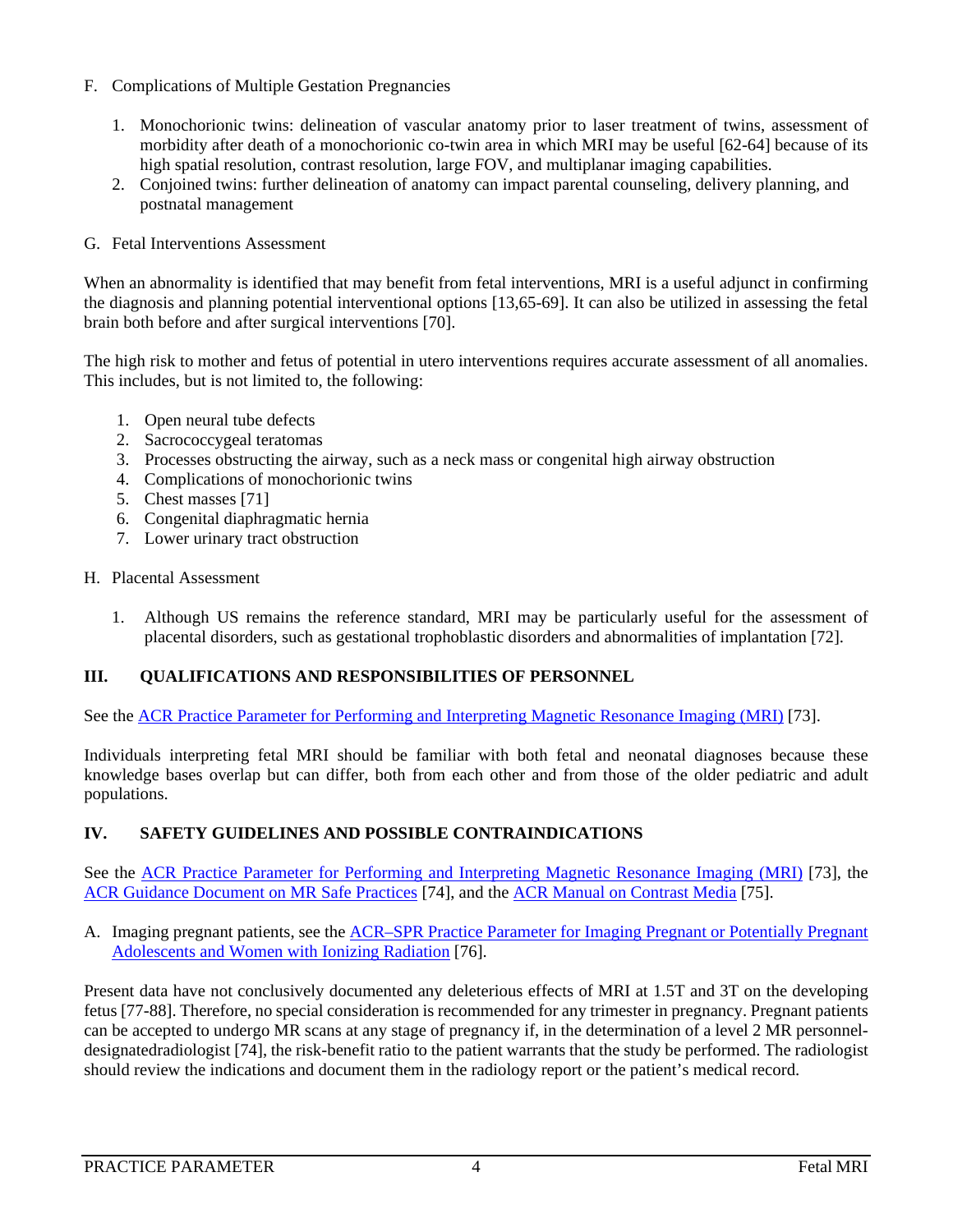- F. Complications of Multiple Gestation Pregnancies
	- 1. Monochorionic twins: delineation of vascular anatomy prior to laser treatment of twins, assessment of morbidity after death of a monochorionic co-twin area in which MRI may be useful [\[62-64\]](#page-11-2) because of its high spatial resolution, contrast resolution, large FOV, and multiplanar imaging capabilities.
	- 2. Conjoined twins: further delineation of anatomy can impact parental counseling, delivery planning, and postnatal management
- G. Fetal Interventions Assessment

When an abnormality is identified that may benefit from fetal interventions, MRI is a useful adjunct in confirming the diagnosis and planning potential interventional options [\[13](#page-9-1)[,65-69\]](#page-11-3). It can also be utilized in assessing the fetal brain both before and after surgical interventions [\[70\]](#page-11-4).

The high risk to mother and fetus of potential in utero interventions requires accurate assessment of all anomalies. This includes, but is not limited to, the following:

- 1. Open neural tube defects
- 2. Sacrococcygeal teratomas
- 3. Processes obstructing the airway, such as a neck mass or congenital high airway obstruction
- 4. Complications of monochorionic twins
- 5. Chest masses [\[71\]](#page-11-5)
- 6. Congenital diaphragmatic hernia
- 7. Lower urinary tract obstruction
- H. Placental Assessment
	- 1. Although US remains the reference standard, MRI may be particularly useful for the assessment of placental disorders, such as gestational trophoblastic disorders and abnormalities of implantation [\[72\]](#page-11-6).

# **III. QUALIFICATIONS AND RESPONSIBILITIES OF PERSONNEL**

See the [ACR Practice Parameter for Performing and Interpreting Magnetic Resonance Imaging \(MRI\)](https://www.acr.org/-/media/ACR/Files/Practice-Parameters/MR-Perf-Interpret.pdf) [\[73\]](#page-11-7).

Individuals interpreting fetal MRI should be familiar with both fetal and neonatal diagnoses because these knowledge bases overlap but can differ, both from each other and from those of the older pediatric and adult populations.

# **IV. SAFETY GUIDELINES AND POSSIBLE CONTRAINDICATIONS**

See the [ACR Practice Parameter for Performing and Interpreting Magnetic Resonance Imaging \(MRI\)](https://www.acr.org/-/media/ACR/Files/Practice-Parameters/MR-Perf-Interpret.pdf) [\[73\]](#page-11-7), the [ACR Guidance Document on MR Safe Practices](http://onlinelibrary.wiley.com/doi/10.1002/jmri.24011/pdf) [\[74\]](#page-11-8), and the [ACR Manual on Contrast Media](https://www.acr.org/-/media/ACR/Files/Clinical-Resources/Contrast_Media.pdf) [\[75\]](#page-11-9).

A. Imaging pregnant patients, see the **ACR–SPR Practice Parameter for Imaging Pregnant or Potentially Pregnant** [Adolescents and Women with Ionizing Radiation](https://www.acr.org/-/media/ACR/Files/Practice-Parameters/Pregnant-Pts.pdf) [\[76\]](#page-11-10).

Present data have not conclusively documented any deleterious effects of MRI at 1.5T and 3T on the developing fetus [\[77-88\]](#page-11-11). Therefore, no special consideration is recommended for any trimester in pregnancy. Pregnant patients can be accepted to undergo MR scans at any stage of pregnancy if, in the determination of a level 2 MR personneldesignatedradiologist [\[74\]](#page-11-8), the risk-benefit ratio to the patient warrants that the study be performed. The radiologist should review the indications and document them in the radiology report or the patient's medical record.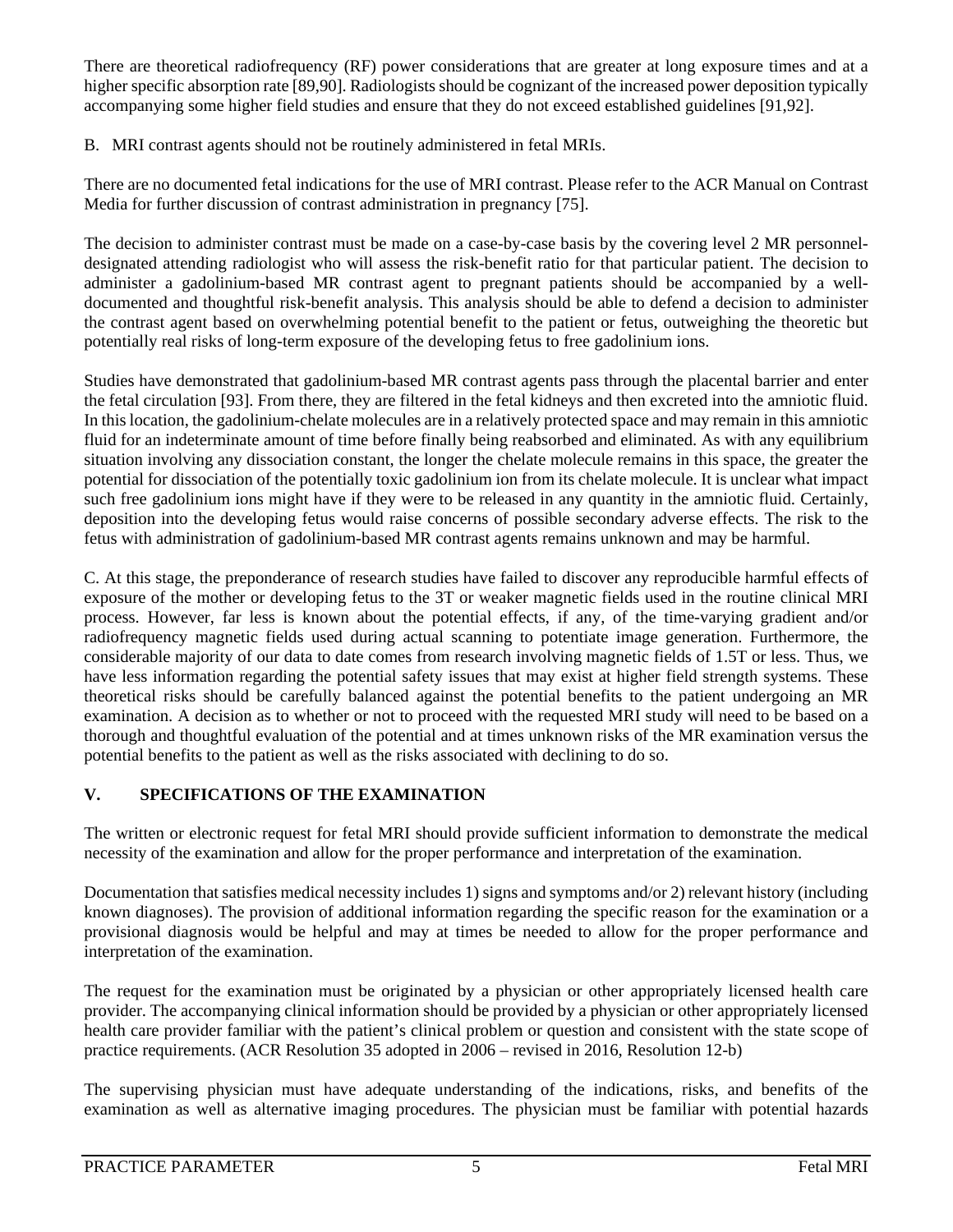There are theoretical radiofrequency (RF) power considerations that are greater at long exposure times and at a higher specific absorption rate [\[89](#page-12-0)[,90\]](#page-12-1). Radiologists should be cognizant of the increased power deposition typically accompanying some higher field studies and ensure that they do not exceed established guidelines [\[91,](#page-12-2)[92\]](#page-12-3).

B. MRI contrast agents should not be routinely administered in fetal MRIs.

There are no documented fetal indications for the use of MRI contrast. Please refer to the ACR Manual on Contrast Media for further discussion of contrast administration in pregnancy [\[75\]](#page-11-9).

The decision to administer contrast must be made on a case-by-case basis by the covering level 2 MR personneldesignated attending radiologist who will assess the risk-benefit ratio for that particular patient. The decision to administer a gadolinium-based MR contrast agent to pregnant patients should be accompanied by a welldocumented and thoughtful risk-benefit analysis. This analysis should be able to defend a decision to administer the contrast agent based on overwhelming potential benefit to the patient or fetus, outweighing the theoretic but potentially real risks of long-term exposure of the developing fetus to free gadolinium ions.

Studies have demonstrated that gadolinium-based MR contrast agents pass through the placental barrier and enter the fetal circulation [\[93\]](#page-12-4). From there, they are filtered in the fetal kidneys and then excreted into the amniotic fluid. In this location, the gadolinium-chelate molecules are in a relatively protected space and may remain in this amniotic fluid for an indeterminate amount of time before finally being reabsorbed and eliminated. As with any equilibrium situation involving any dissociation constant, the longer the chelate molecule remains in this space, the greater the potential for dissociation of the potentially toxic gadolinium ion from its chelate molecule. It is unclear what impact such free gadolinium ions might have if they were to be released in any quantity in the amniotic fluid. Certainly, deposition into the developing fetus would raise concerns of possible secondary adverse effects. The risk to the fetus with administration of gadolinium-based MR contrast agents remains unknown and may be harmful.

C. At this stage, the preponderance of research studies have failed to discover any reproducible harmful effects of exposure of the mother or developing fetus to the 3T or weaker magnetic fields used in the routine clinical MRI process. However, far less is known about the potential effects, if any, of the time-varying gradient and/or radiofrequency magnetic fields used during actual scanning to potentiate image generation. Furthermore, the considerable majority of our data to date comes from research involving magnetic fields of 1.5T or less. Thus, we have less information regarding the potential safety issues that may exist at higher field strength systems. These theoretical risks should be carefully balanced against the potential benefits to the patient undergoing an MR examination. A decision as to whether or not to proceed with the requested MRI study will need to be based on a thorough and thoughtful evaluation of the potential and at times unknown risks of the MR examination versus the potential benefits to the patient as well as the risks associated with declining to do so.

# **V. SPECIFICATIONS OF THE EXAMINATION**

The written or electronic request for fetal MRI should provide sufficient information to demonstrate the medical necessity of the examination and allow for the proper performance and interpretation of the examination.

Documentation that satisfies medical necessity includes 1) signs and symptoms and/or 2) relevant history (including known diagnoses). The provision of additional information regarding the specific reason for the examination or a provisional diagnosis would be helpful and may at times be needed to allow for the proper performance and interpretation of the examination.

The request for the examination must be originated by a physician or other appropriately licensed health care provider. The accompanying clinical information should be provided by a physician or other appropriately licensed health care provider familiar with the patient's clinical problem or question and consistent with the state scope of practice requirements. (ACR Resolution 35 adopted in 2006 – revised in 2016, Resolution 12-b)

The supervising physician must have adequate understanding of the indications, risks, and benefits of the examination as well as alternative imaging procedures. The physician must be familiar with potential hazards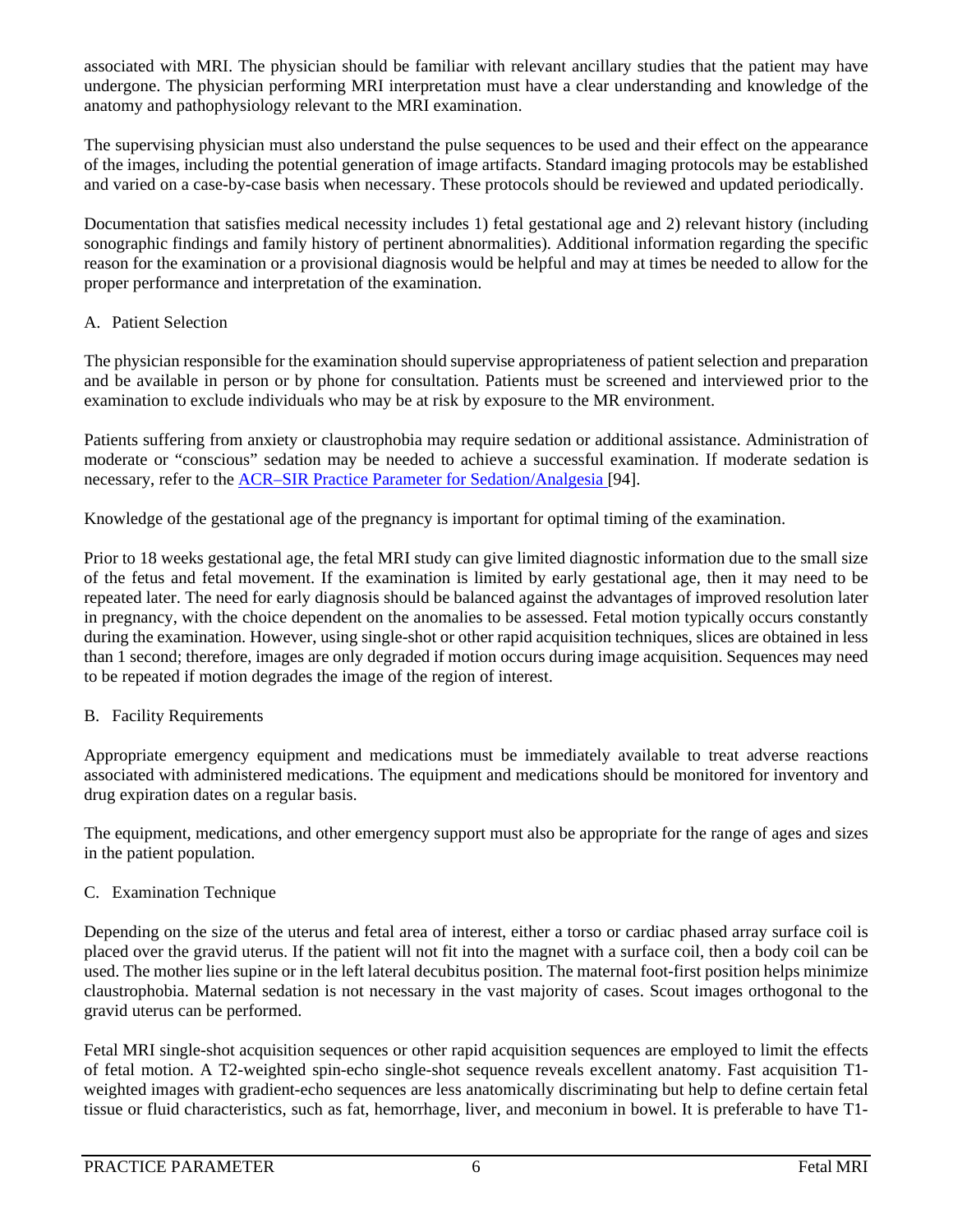associated with MRI. The physician should be familiar with relevant ancillary studies that the patient may have undergone. The physician performing MRI interpretation must have a clear understanding and knowledge of the anatomy and pathophysiology relevant to the MRI examination.

The supervising physician must also understand the pulse sequences to be used and their effect on the appearance of the images, including the potential generation of image artifacts. Standard imaging protocols may be established and varied on a case-by-case basis when necessary. These protocols should be reviewed and updated periodically.

Documentation that satisfies medical necessity includes 1) fetal gestational age and 2) relevant history (including sonographic findings and family history of pertinent abnormalities). Additional information regarding the specific reason for the examination or a provisional diagnosis would be helpful and may at times be needed to allow for the proper performance and interpretation of the examination.

## A. Patient Selection

The physician responsible for the examination should supervise appropriateness of patient selection and preparation and be available in person or by phone for consultation. Patients must be screened and interviewed prior to the examination to exclude individuals who may be at risk by exposure to the MR environment.

Patients suffering from anxiety or claustrophobia may require sedation or additional assistance. Administration of moderate or "conscious" sedation may be needed to achieve a successful examination. If moderate sedation is necessary, refer to the [ACR–SIR Practice Parameter for Sedation/Analgesia](https://www.acr.org/-/media/ACR/Files/Practice-Parameters/Sed-Analgesia.pdf) [\[94\]](#page-12-5).

Knowledge of the gestational age of the pregnancy is important for optimal timing of the examination.

Prior to 18 weeks gestational age, the fetal MRI study can give limited diagnostic information due to the small size of the fetus and fetal movement. If the examination is limited by early gestational age, then it may need to be repeated later. The need for early diagnosis should be balanced against the advantages of improved resolution later in pregnancy, with the choice dependent on the anomalies to be assessed. Fetal motion typically occurs constantly during the examination. However, using single-shot or other rapid acquisition techniques, slices are obtained in less than 1 second; therefore, images are only degraded if motion occurs during image acquisition. Sequences may need to be repeated if motion degrades the image of the region of interest.

## B. Facility Requirements

Appropriate emergency equipment and medications must be immediately available to treat adverse reactions associated with administered medications. The equipment and medications should be monitored for inventory and drug expiration dates on a regular basis.

The equipment, medications, and other emergency support must also be appropriate for the range of ages and sizes in the patient population.

#### C. Examination Technique

Depending on the size of the uterus and fetal area of interest, either a torso or cardiac phased array surface coil is placed over the gravid uterus. If the patient will not fit into the magnet with a surface coil, then a body coil can be used. The mother lies supine or in the left lateral decubitus position. The maternal foot-first position helps minimize claustrophobia. Maternal sedation is not necessary in the vast majority of cases. Scout images orthogonal to the gravid uterus can be performed.

Fetal MRI single-shot acquisition sequences or other rapid acquisition sequences are employed to limit the effects of fetal motion. A T2-weighted spin-echo single-shot sequence reveals excellent anatomy. Fast acquisition T1 weighted images with gradient-echo sequences are less anatomically discriminating but help to define certain fetal tissue or fluid characteristics, such as fat, hemorrhage, liver, and meconium in bowel. It is preferable to have T1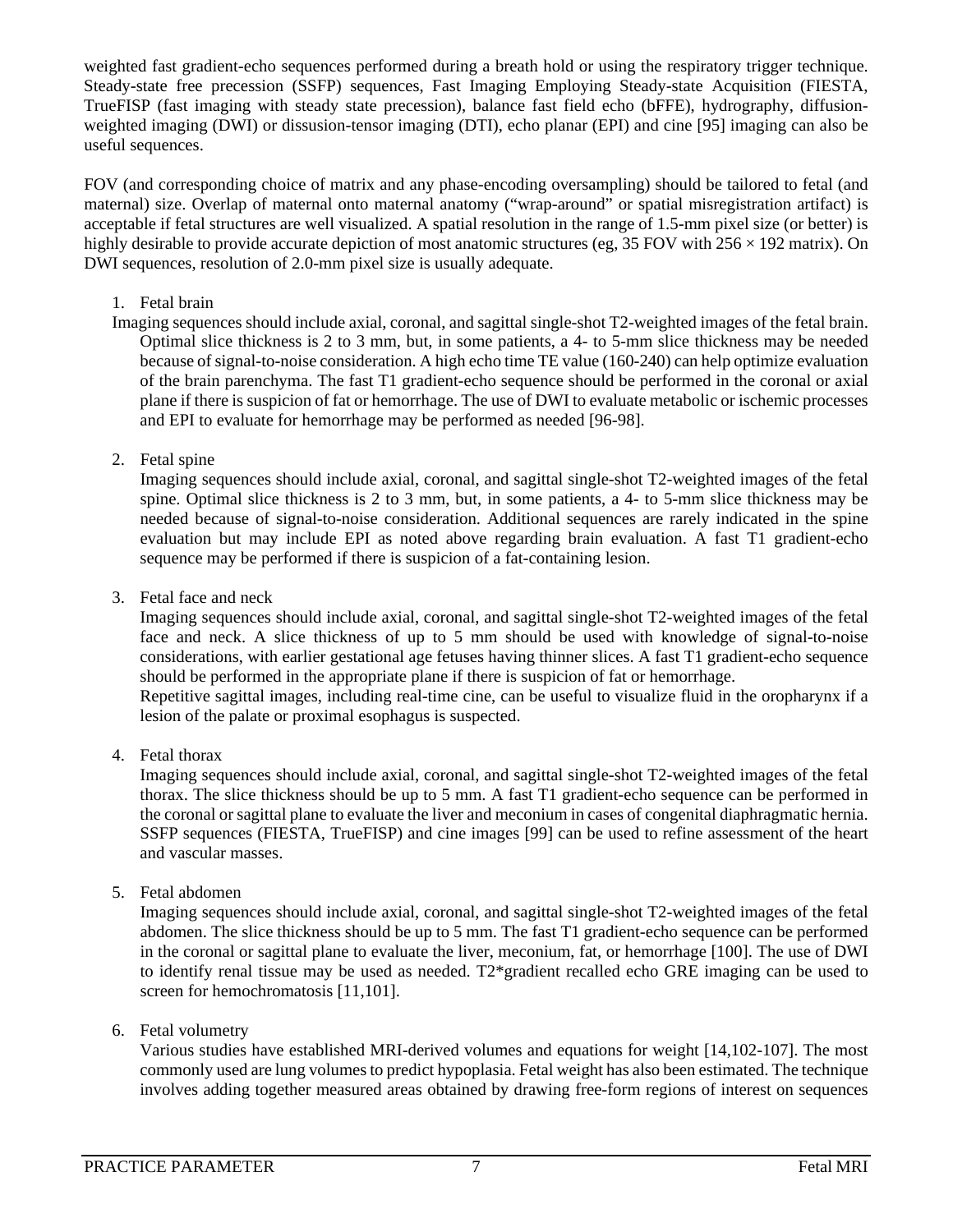weighted fast gradient-echo sequences performed during a breath hold or using the respiratory trigger technique. Steady-state free precession (SSFP) sequences, Fast Imaging Employing Steady-state Acquisition (FIESTA, TrueFISP (fast imaging with steady state precession), balance fast field echo (bFFE), hydrography, diffusionweighted imaging (DWI) or dissusion-tensor imaging (DTI), echo planar (EPI) and cine [\[95\]](#page-12-6) imaging can also be useful sequences.

FOV (and corresponding choice of matrix and any phase-encoding oversampling) should be tailored to fetal (and maternal) size. Overlap of maternal onto maternal anatomy ("wrap-around" or spatial misregistration artifact) is acceptable if fetal structures are well visualized. A spatial resolution in the range of 1.5-mm pixel size (or better) is highly desirable to provide accurate depiction of most anatomic structures (eg, 35 FOV with  $256 \times 192$  matrix). On DWI sequences, resolution of 2.0-mm pixel size is usually adequate.

## 1. Fetal brain

Imaging sequences should include axial, coronal, and sagittal single-shot T2-weighted images of the fetal brain. Optimal slice thickness is 2 to 3 mm, but, in some patients, a 4- to 5-mm slice thickness may be needed because of signal-to-noise consideration. A high echo time TE value (160-240) can help optimize evaluation of the brain parenchyma. The fast T1 gradient-echo sequence should be performed in the coronal or axial plane if there is suspicion of fat or hemorrhage. The use of DWI to evaluate metabolic or ischemic processes and EPI to evaluate for hemorrhage may be performed as needed [\[96-98\]](#page-12-7).

2. Fetal spine

Imaging sequences should include axial, coronal, and sagittal single-shot T2-weighted images of the fetal spine. Optimal slice thickness is 2 to 3 mm, but, in some patients, a 4- to 5-mm slice thickness may be needed because of signal-to-noise consideration. Additional sequences are rarely indicated in the spine evaluation but may include EPI as noted above regarding brain evaluation. A fast T1 gradient-echo sequence may be performed if there is suspicion of a fat-containing lesion.

3. Fetal face and neck

Imaging sequences should include axial, coronal, and sagittal single-shot T2-weighted images of the fetal face and neck. A slice thickness of up to 5 mm should be used with knowledge of signal-to-noise considerations, with earlier gestational age fetuses having thinner slices. A fast T1 gradient-echo sequence should be performed in the appropriate plane if there is suspicion of fat or hemorrhage.

Repetitive sagittal images, including real-time cine, can be useful to visualize fluid in the oropharynx if a lesion of the palate or proximal esophagus is suspected.

4. Fetal thorax

Imaging sequences should include axial, coronal, and sagittal single-shot T2-weighted images of the fetal thorax. The slice thickness should be up to 5 mm. A fast T1 gradient-echo sequence can be performed in the coronal or sagittal plane to evaluate the liver and meconium in cases of congenital diaphragmatic hernia. SSFP sequences (FIESTA, TrueFISP) and cine images [\[99\]](#page-12-8) can be used to refine assessment of the heart and vascular masses.

5. Fetal abdomen

Imaging sequences should include axial, coronal, and sagittal single-shot T2-weighted images of the fetal abdomen. The slice thickness should be up to 5 mm. The fast T1 gradient-echo sequence can be performed in the coronal or sagittal plane to evaluate the liver, meconium, fat, or hemorrhage [\[100\]](#page-12-9). The use of DWI to identify renal tissue may be used as needed. T2\*gradient recalled echo GRE imaging can be used to screen for hemochromatosis [\[11,](#page-8-3)[101\]](#page-13-1).

6. Fetal volumetry

Various studies have established MRI-derived volumes and equations for weight [\[14,](#page-9-2)[102-107\]](#page-13-2). The most commonly used are lung volumes to predict hypoplasia. Fetal weight has also been estimated. The technique involves adding together measured areas obtained by drawing free-form regions of interest on sequences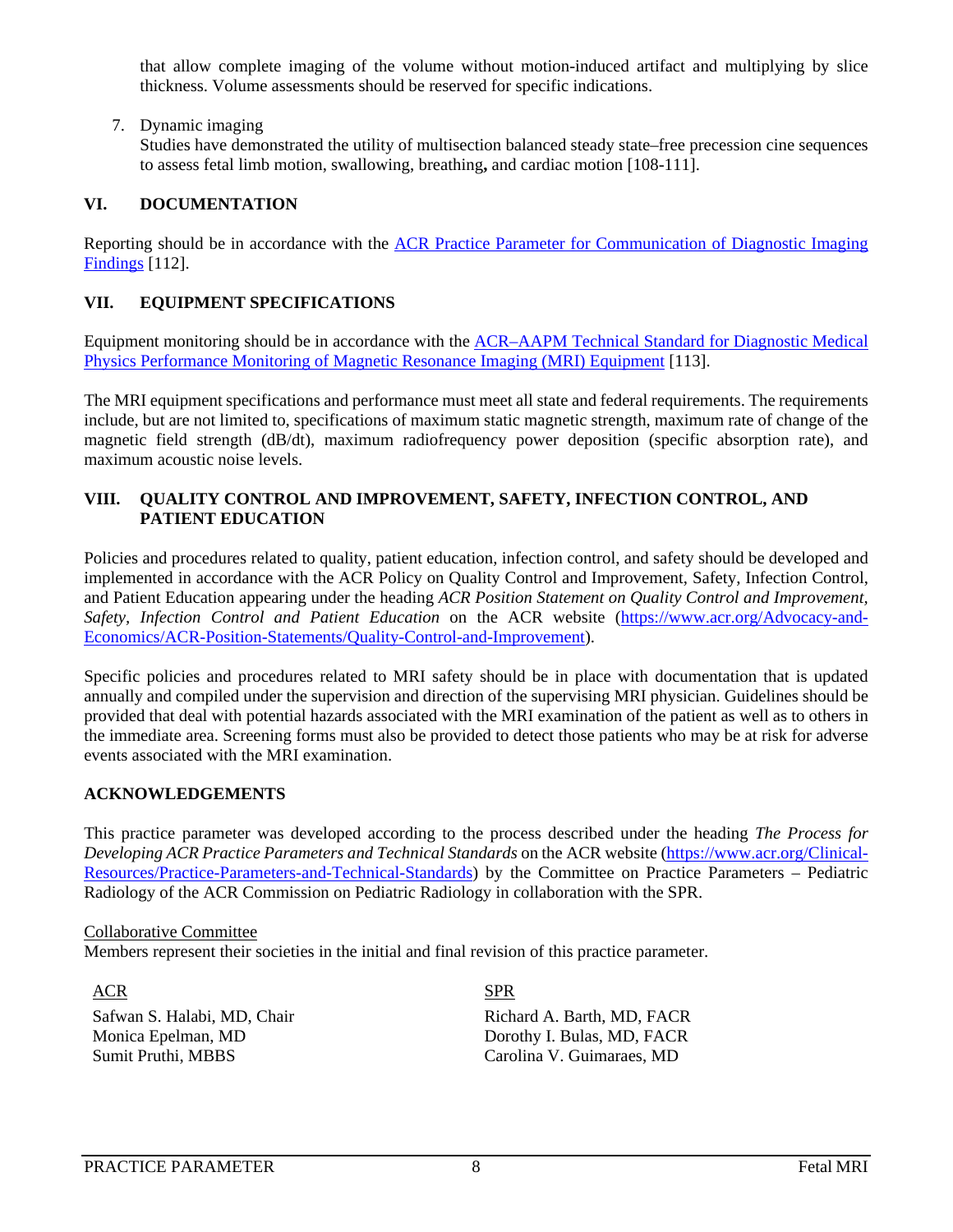that allow complete imaging of the volume without motion-induced artifact and multiplying by slice thickness. Volume assessments should be reserved for specific indications.

7. Dynamic imaging

Studies have demonstrated the utility of multisection balanced steady state–free precession cine sequences to assess fetal limb motion, swallowing, breathing**,** and cardiac motion [\[108-111\]](#page-13-3).

## **VI. DOCUMENTATION**

Reporting should be in accordance with the [ACR Practice Parameter for Communication of Diagnostic Imaging](https://www.acr.org/-/media/ACR/Files/Practice-Parameters/CommunicationDiag.pdf)  [Findings](https://www.acr.org/-/media/ACR/Files/Practice-Parameters/CommunicationDiag.pdf) [\[112\]](#page-13-4).

#### **VII. EQUIPMENT SPECIFICATIONS**

Equipment monitoring should be in accordance with the [ACR–AAPM Technical Standard for Diagnostic Medical](https://www.acr.org/-/media/ACR/Files/Practice-Parameters/MR-Equip.pdf)  [Physics Performance Monitoring of Magnetic Resonance Imaging \(MRI\) Equipment](https://www.acr.org/-/media/ACR/Files/Practice-Parameters/MR-Equip.pdf) [\[113\]](#page-13-5).

The MRI equipment specifications and performance must meet all state and federal requirements. The requirements include, but are not limited to, specifications of maximum static magnetic strength, maximum rate of change of the magnetic field strength (dB/dt), maximum radiofrequency power deposition (specific absorption rate), and maximum acoustic noise levels.

## **VIII. QUALITY CONTROL AND IMPROVEMENT, SAFETY, INFECTION CONTROL, AND PATIENT EDUCATION**

Policies and procedures related to quality, patient education, infection control, and safety should be developed and implemented in accordance with the ACR Policy on Quality Control and Improvement, Safety, Infection Control, and Patient Education appearing under the heading *ACR Position Statement on Quality Control and Improvement, Safety, Infection Control and Patient Education* on the ACR website [\(https://www.acr.org/Advocacy-and-](https://www.acr.org/Advocacy-and-Economics/ACR-Position-Statements/Quality-Control-and-Improvement)[Economics/ACR-Position-Statements/Quality-Control-and-Improvement\)](https://www.acr.org/Advocacy-and-Economics/ACR-Position-Statements/Quality-Control-and-Improvement).

Specific policies and procedures related to MRI safety should be in place with documentation that is updated annually and compiled under the supervision and direction of the supervising MRI physician. Guidelines should be provided that deal with potential hazards associated with the MRI examination of the patient as well as to others in the immediate area. Screening forms must also be provided to detect those patients who may be at risk for adverse events associated with the MRI examination.

#### **ACKNOWLEDGEMENTS**

This practice parameter was developed according to the process described under the heading *The Process for Developing ACR Practice Parameters and Technical Standards* on the ACR website [\(https://www.acr.org/Clinical-](https://www.acr.org/Clinical-Resources/Practice-Parameters-and-Technical-Standards)[Resources/Practice-Parameters-and-Technical-Standards\)](https://www.acr.org/Clinical-Resources/Practice-Parameters-and-Technical-Standards) by the Committee on Practice Parameters – Pediatric Radiology of the ACR Commission on Pediatric Radiology in collaboration with the SPR.

#### Collaborative Committee

Members represent their societies in the initial and final revision of this practice parameter.

ACR SPR

Safwan S. Halabi, MD, Chair Richard A. Barth, MD, FACR Monica Epelman, MD Dorothy I. Bulas, MD, FACR Sumit Pruthi, MBBS Carolina V. Guimaraes, MD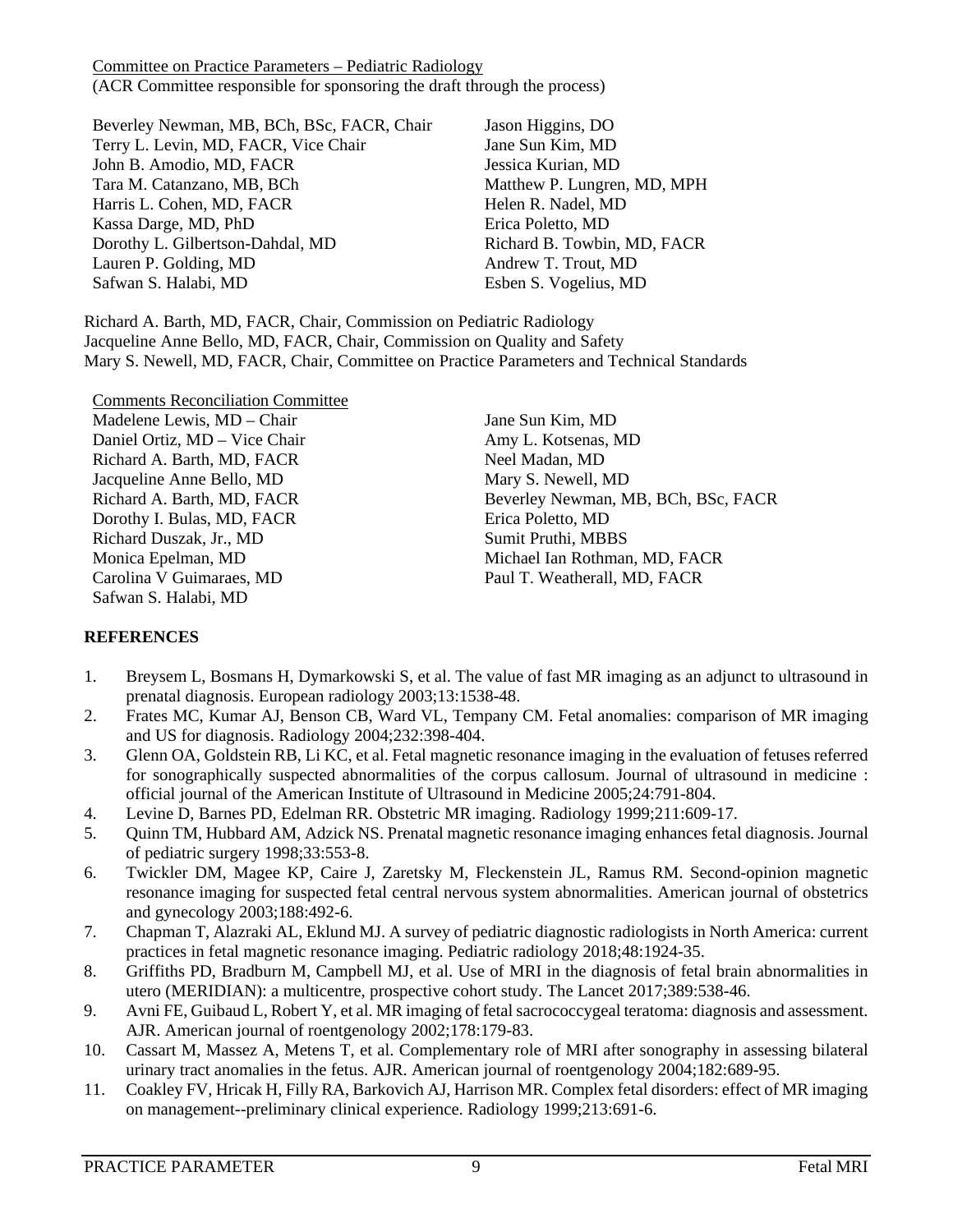Committee on Practice Parameters – Pediatric Radiology (ACR Committee responsible for sponsoring the draft through the process)

Beverley Newman, MB, BCh, BSc, FACR, Chair Jason Higgins, DO Terry L. Levin, MD, FACR, Vice Chair Jane Sun Kim, MD John B. Amodio, MD, FACR Jessica Kurian, MD Tara M. Catanzano, MB, BCh Matthew P. Lungren, MD, MPH Harris L. Cohen, MD, FACR Helen R. Nadel, MD Kassa Darge, MD, PhD Erica Poletto, MD Dorothy L. Gilbertson-Dahdal, MD Richard B. Towbin, MD, FACR Lauren P. Golding, MD<br>
Safwan S. Halabi, MD<br>
Esben S. Vogelius, ML<br>
Esben S. Vogelius, ML

Esben S. Vogelius, MD

Richard A. Barth, MD, FACR, Chair, Commission on Pediatric Radiology Jacqueline Anne Bello, MD, FACR, Chair, Commission on Quality and Safety Mary S. Newell, MD, FACR, Chair, Committee on Practice Parameters and Technical Standards

Comments Reconciliation Committee

Madelene Lewis, MD – Chair Jane Sun Kim, MD Daniel Ortiz, MD – Vice Chair Amy L. Kotsenas, MD Richard A. Barth, MD, FACR<br>
Jacqueline Anne Bello, MD Mary S. Newell, MD Jacqueline Anne Bello, MD Dorothy I. Bulas, MD, FACR Erica Poletto, MD Richard Duszak, Jr., MD Sumit Pruthi, MBBS Carolina V Guimaraes, MD Paul T. Weatherall, MD, FACR Safwan S. Halabi, MD

Richard A. Barth, MD, FACR Beverley Newman, MB, BCh, BSc, FACR Monica Epelman, MD **Michael Ian Rothman, MD, FACR** 

# **REFERENCES**

- <span id="page-8-0"></span>1. Breysem L, Bosmans H, Dymarkowski S, et al. The value of fast MR imaging as an adjunct to ultrasound in prenatal diagnosis. European radiology 2003;13:1538-48.
- 2. Frates MC, Kumar AJ, Benson CB, Ward VL, Tempany CM. Fetal anomalies: comparison of MR imaging and US for diagnosis. Radiology 2004;232:398-404.
- <span id="page-8-2"></span>3. Glenn OA, Goldstein RB, Li KC, et al. Fetal magnetic resonance imaging in the evaluation of fetuses referred for sonographically suspected abnormalities of the corpus callosum. Journal of ultrasound in medicine : official journal of the American Institute of Ultrasound in Medicine 2005;24:791-804.
- 4. Levine D, Barnes PD, Edelman RR. Obstetric MR imaging. Radiology 1999;211:609-17.
- 5. Quinn TM, Hubbard AM, Adzick NS. Prenatal magnetic resonance imaging enhances fetal diagnosis. Journal of pediatric surgery 1998;33:553-8.
- 6. Twickler DM, Magee KP, Caire J, Zaretsky M, Fleckenstein JL, Ramus RM. Second-opinion magnetic resonance imaging for suspected fetal central nervous system abnormalities. American journal of obstetrics and gynecology 2003;188:492-6.
- 7. Chapman T, Alazraki AL, Eklund MJ. A survey of pediatric diagnostic radiologists in North America: current practices in fetal magnetic resonance imaging. Pediatric radiology 2018;48:1924-35.
- 8. Griffiths PD, Bradburn M, Campbell MJ, et al. Use of MRI in the diagnosis of fetal brain abnormalities in utero (MERIDIAN): a multicentre, prospective cohort study. The Lancet 2017;389:538-46.
- <span id="page-8-1"></span>9. Avni FE, Guibaud L, Robert Y, et al. MR imaging of fetal sacrococcygeal teratoma: diagnosis and assessment. AJR. American journal of roentgenology 2002;178:179-83.
- 10. Cassart M, Massez A, Metens T, et al. Complementary role of MRI after sonography in assessing bilateral urinary tract anomalies in the fetus. AJR. American journal of roentgenology 2004;182:689-95.
- <span id="page-8-3"></span>11. Coakley FV, Hricak H, Filly RA, Barkovich AJ, Harrison MR. Complex fetal disorders: effect of MR imaging on management--preliminary clinical experience. Radiology 1999;213:691-6.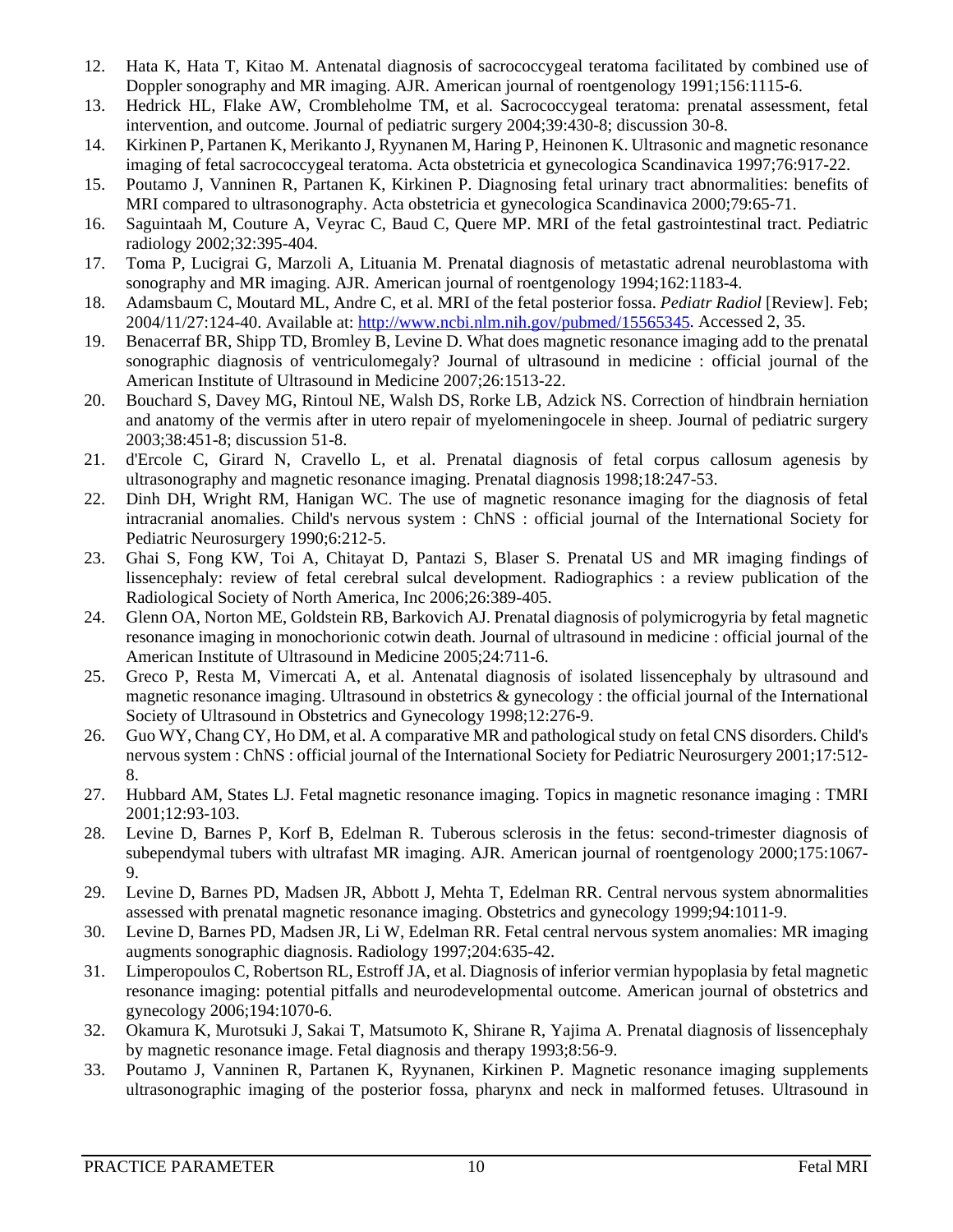- 12. Hata K, Hata T, Kitao M. Antenatal diagnosis of sacrococcygeal teratoma facilitated by combined use of Doppler sonography and MR imaging. AJR. American journal of roentgenology 1991;156:1115-6.
- <span id="page-9-1"></span>13. Hedrick HL, Flake AW, Crombleholme TM, et al. Sacrococcygeal teratoma: prenatal assessment, fetal intervention, and outcome. Journal of pediatric surgery 2004;39:430-8; discussion 30-8.
- <span id="page-9-2"></span>14. Kirkinen P, Partanen K, Merikanto J, Ryynanen M, Haring P, Heinonen K. Ultrasonic and magnetic resonance imaging of fetal sacrococcygeal teratoma. Acta obstetricia et gynecologica Scandinavica 1997;76:917-22.
- 15. Poutamo J, Vanninen R, Partanen K, Kirkinen P. Diagnosing fetal urinary tract abnormalities: benefits of MRI compared to ultrasonography. Acta obstetricia et gynecologica Scandinavica 2000;79:65-71.
- 16. Saguintaah M, Couture A, Veyrac C, Baud C, Quere MP. MRI of the fetal gastrointestinal tract. Pediatric radiology 2002;32:395-404.
- 17. Toma P, Lucigrai G, Marzoli A, Lituania M. Prenatal diagnosis of metastatic adrenal neuroblastoma with sonography and MR imaging. AJR. American journal of roentgenology 1994;162:1183-4.
- <span id="page-9-0"></span>18. Adamsbaum C, Moutard ML, Andre C, et al. MRI of the fetal posterior fossa. *Pediatr Radiol* [Review]. Feb; 2004/11/27:124-40. Available at: [http://www.ncbi.nlm.nih.gov/pubmed/15565345.](http://www.ncbi.nlm.nih.gov/pubmed/15565345) Accessed 2, 35.
- 19. Benacerraf BR, Shipp TD, Bromley B, Levine D. What does magnetic resonance imaging add to the prenatal sonographic diagnosis of ventriculomegaly? Journal of ultrasound in medicine : official journal of the American Institute of Ultrasound in Medicine 2007;26:1513-22.
- 20. Bouchard S, Davey MG, Rintoul NE, Walsh DS, Rorke LB, Adzick NS. Correction of hindbrain herniation and anatomy of the vermis after in utero repair of myelomeningocele in sheep. Journal of pediatric surgery 2003;38:451-8; discussion 51-8.
- 21. d'Ercole C, Girard N, Cravello L, et al. Prenatal diagnosis of fetal corpus callosum agenesis by ultrasonography and magnetic resonance imaging. Prenatal diagnosis 1998;18:247-53.
- 22. Dinh DH, Wright RM, Hanigan WC. The use of magnetic resonance imaging for the diagnosis of fetal intracranial anomalies. Child's nervous system : ChNS : official journal of the International Society for Pediatric Neurosurgery 1990;6:212-5.
- 23. Ghai S, Fong KW, Toi A, Chitayat D, Pantazi S, Blaser S. Prenatal US and MR imaging findings of lissencephaly: review of fetal cerebral sulcal development. Radiographics : a review publication of the Radiological Society of North America, Inc 2006;26:389-405.
- 24. Glenn OA, Norton ME, Goldstein RB, Barkovich AJ. Prenatal diagnosis of polymicrogyria by fetal magnetic resonance imaging in monochorionic cotwin death. Journal of ultrasound in medicine : official journal of the American Institute of Ultrasound in Medicine 2005;24:711-6.
- 25. Greco P, Resta M, Vimercati A, et al. Antenatal diagnosis of isolated lissencephaly by ultrasound and magnetic resonance imaging. Ultrasound in obstetrics & gynecology : the official journal of the International Society of Ultrasound in Obstetrics and Gynecology 1998;12:276-9.
- 26. Guo WY, Chang CY, Ho DM, et al. A comparative MR and pathological study on fetal CNS disorders. Child's nervous system : ChNS : official journal of the International Society for Pediatric Neurosurgery 2001;17:512- 8.
- 27. Hubbard AM, States LJ. Fetal magnetic resonance imaging. Topics in magnetic resonance imaging : TMRI 2001;12:93-103.
- 28. Levine D, Barnes P, Korf B, Edelman R. Tuberous sclerosis in the fetus: second-trimester diagnosis of subependymal tubers with ultrafast MR imaging. AJR. American journal of roentgenology 2000;175:1067- 9.
- <span id="page-9-3"></span>29. Levine D, Barnes PD, Madsen JR, Abbott J, Mehta T, Edelman RR. Central nervous system abnormalities assessed with prenatal magnetic resonance imaging. Obstetrics and gynecology 1999;94:1011-9.
- 30. Levine D, Barnes PD, Madsen JR, Li W, Edelman RR. Fetal central nervous system anomalies: MR imaging augments sonographic diagnosis. Radiology 1997;204:635-42.
- 31. Limperopoulos C, Robertson RL, Estroff JA, et al. Diagnosis of inferior vermian hypoplasia by fetal magnetic resonance imaging: potential pitfalls and neurodevelopmental outcome. American journal of obstetrics and gynecology 2006;194:1070-6.
- 32. Okamura K, Murotsuki J, Sakai T, Matsumoto K, Shirane R, Yajima A. Prenatal diagnosis of lissencephaly by magnetic resonance image. Fetal diagnosis and therapy 1993;8:56-9.
- <span id="page-9-4"></span>33. Poutamo J, Vanninen R, Partanen K, Ryynanen, Kirkinen P. Magnetic resonance imaging supplements ultrasonographic imaging of the posterior fossa, pharynx and neck in malformed fetuses. Ultrasound in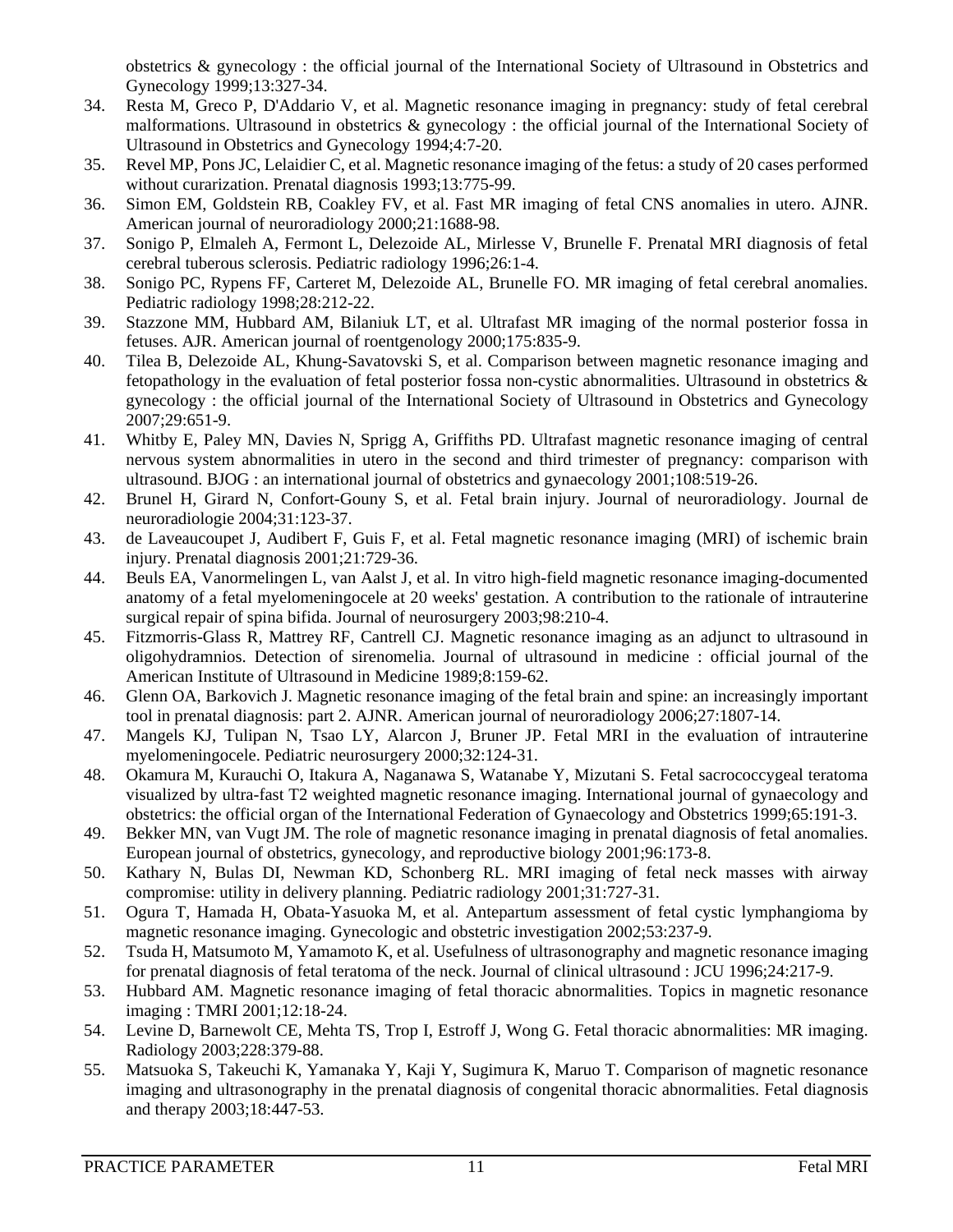obstetrics & gynecology : the official journal of the International Society of Ultrasound in Obstetrics and Gynecology 1999;13:327-34.

- 34. Resta M, Greco P, D'Addario V, et al. Magnetic resonance imaging in pregnancy: study of fetal cerebral malformations. Ultrasound in obstetrics & gynecology : the official journal of the International Society of Ultrasound in Obstetrics and Gynecology 1994;4:7-20.
- 35. Revel MP, Pons JC, Lelaidier C, et al. Magnetic resonance imaging of the fetus: a study of 20 cases performed without curarization. Prenatal diagnosis 1993;13:775-99.
- 36. Simon EM, Goldstein RB, Coakley FV, et al. Fast MR imaging of fetal CNS anomalies in utero. AJNR. American journal of neuroradiology 2000;21:1688-98.
- 37. Sonigo P, Elmaleh A, Fermont L, Delezoide AL, Mirlesse V, Brunelle F. Prenatal MRI diagnosis of fetal cerebral tuberous sclerosis. Pediatric radiology 1996;26:1-4.
- 38. Sonigo PC, Rypens FF, Carteret M, Delezoide AL, Brunelle FO. MR imaging of fetal cerebral anomalies. Pediatric radiology 1998;28:212-22.
- 39. Stazzone MM, Hubbard AM, Bilaniuk LT, et al. Ultrafast MR imaging of the normal posterior fossa in fetuses. AJR. American journal of roentgenology 2000;175:835-9.
- 40. Tilea B, Delezoide AL, Khung-Savatovski S, et al. Comparison between magnetic resonance imaging and fetopathology in the evaluation of fetal posterior fossa non-cystic abnormalities. Ultrasound in obstetrics & gynecology : the official journal of the International Society of Ultrasound in Obstetrics and Gynecology 2007;29:651-9.
- 41. Whitby E, Paley MN, Davies N, Sprigg A, Griffiths PD. Ultrafast magnetic resonance imaging of central nervous system abnormalities in utero in the second and third trimester of pregnancy: comparison with ultrasound. BJOG : an international journal of obstetrics and gynaecology 2001;108:519-26.
- <span id="page-10-0"></span>42. Brunel H, Girard N, Confort-Gouny S, et al. Fetal brain injury. Journal of neuroradiology. Journal de neuroradiologie 2004;31:123-37.
- <span id="page-10-1"></span>43. de Laveaucoupet J, Audibert F, Guis F, et al. Fetal magnetic resonance imaging (MRI) of ischemic brain injury. Prenatal diagnosis 2001;21:729-36.
- <span id="page-10-2"></span>44. Beuls EA, Vanormelingen L, van Aalst J, et al. In vitro high-field magnetic resonance imaging-documented anatomy of a fetal myelomeningocele at 20 weeks' gestation. A contribution to the rationale of intrauterine surgical repair of spina bifida. Journal of neurosurgery 2003;98:210-4.
- 45. Fitzmorris-Glass R, Mattrey RF, Cantrell CJ. Magnetic resonance imaging as an adjunct to ultrasound in oligohydramnios. Detection of sirenomelia. Journal of ultrasound in medicine : official journal of the American Institute of Ultrasound in Medicine 1989;8:159-62.
- 46. Glenn OA, Barkovich J. Magnetic resonance imaging of the fetal brain and spine: an increasingly important tool in prenatal diagnosis: part 2. AJNR. American journal of neuroradiology 2006;27:1807-14.
- 47. Mangels KJ, Tulipan N, Tsao LY, Alarcon J, Bruner JP. Fetal MRI in the evaluation of intrauterine myelomeningocele. Pediatric neurosurgery 2000;32:124-31.
- 48. Okamura M, Kurauchi O, Itakura A, Naganawa S, Watanabe Y, Mizutani S. Fetal sacrococcygeal teratoma visualized by ultra-fast T2 weighted magnetic resonance imaging. International journal of gynaecology and obstetrics: the official organ of the International Federation of Gynaecology and Obstetrics 1999;65:191-3.
- <span id="page-10-3"></span>49. Bekker MN, van Vugt JM. The role of magnetic resonance imaging in prenatal diagnosis of fetal anomalies. European journal of obstetrics, gynecology, and reproductive biology 2001;96:173-8.
- 50. Kathary N, Bulas DI, Newman KD, Schonberg RL. MRI imaging of fetal neck masses with airway compromise: utility in delivery planning. Pediatric radiology 2001;31:727-31.
- 51. Ogura T, Hamada H, Obata-Yasuoka M, et al. Antepartum assessment of fetal cystic lymphangioma by magnetic resonance imaging. Gynecologic and obstetric investigation 2002;53:237-9.
- 52. Tsuda H, Matsumoto M, Yamamoto K, et al. Usefulness of ultrasonography and magnetic resonance imaging for prenatal diagnosis of fetal teratoma of the neck. Journal of clinical ultrasound : JCU 1996;24:217-9.
- <span id="page-10-4"></span>53. Hubbard AM. Magnetic resonance imaging of fetal thoracic abnormalities. Topics in magnetic resonance imaging : TMRI 2001;12:18-24.
- 54. Levine D, Barnewolt CE, Mehta TS, Trop I, Estroff J, Wong G. Fetal thoracic abnormalities: MR imaging. Radiology 2003;228:379-88.
- 55. Matsuoka S, Takeuchi K, Yamanaka Y, Kaji Y, Sugimura K, Maruo T. Comparison of magnetic resonance imaging and ultrasonography in the prenatal diagnosis of congenital thoracic abnormalities. Fetal diagnosis and therapy 2003;18:447-53.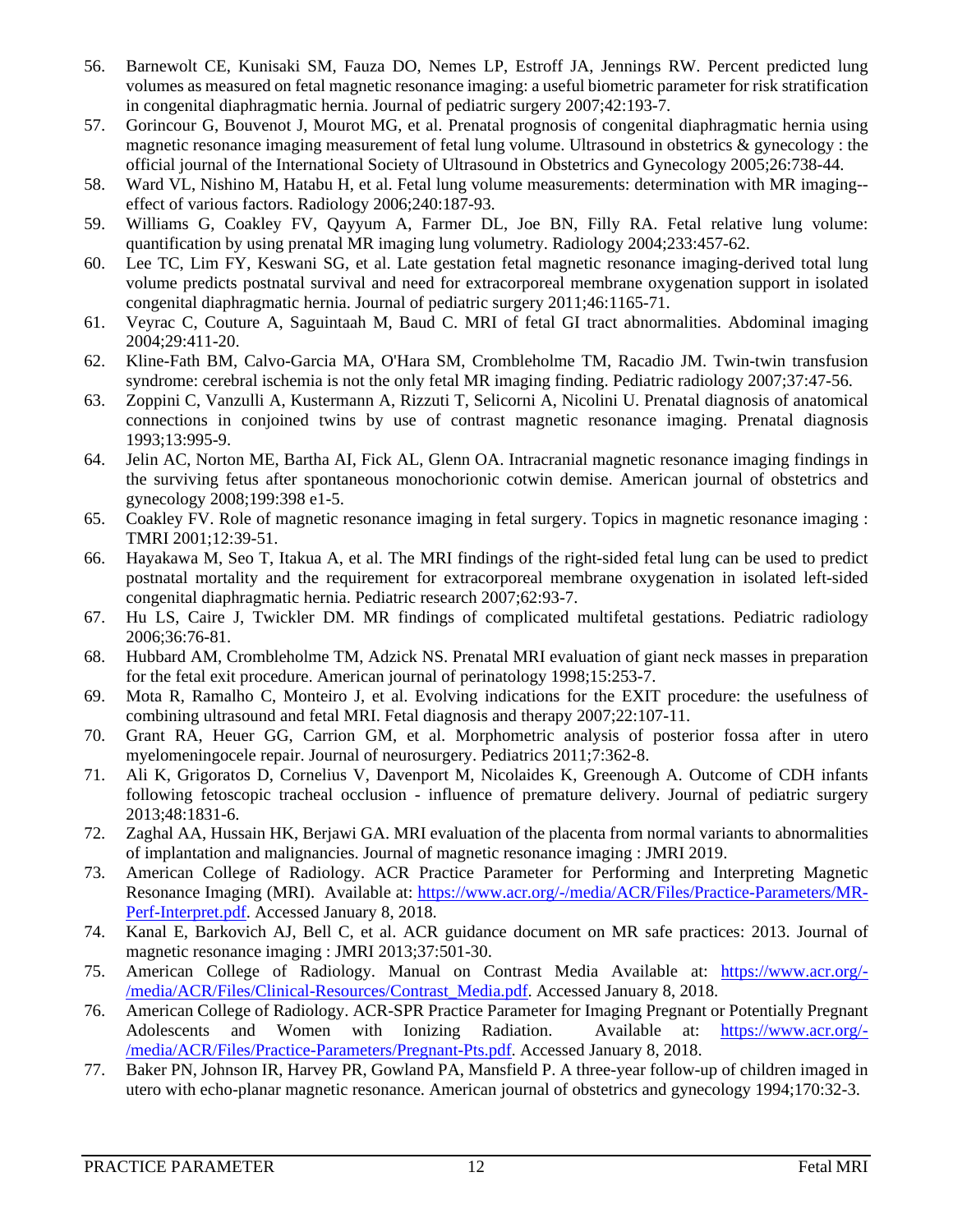- <span id="page-11-0"></span>56. Barnewolt CE, Kunisaki SM, Fauza DO, Nemes LP, Estroff JA, Jennings RW. Percent predicted lung volumes as measured on fetal magnetic resonance imaging: a useful biometric parameter for risk stratification in congenital diaphragmatic hernia. Journal of pediatric surgery 2007;42:193-7.
- 57. Gorincour G, Bouvenot J, Mourot MG, et al. Prenatal prognosis of congenital diaphragmatic hernia using magnetic resonance imaging measurement of fetal lung volume. Ultrasound in obstetrics & gynecology : the official journal of the International Society of Ultrasound in Obstetrics and Gynecology 2005;26:738-44.
- 58. Ward VL, Nishino M, Hatabu H, et al. Fetal lung volume measurements: determination with MR imaging- effect of various factors. Radiology 2006;240:187-93.
- 59. Williams G, Coakley FV, Qayyum A, Farmer DL, Joe BN, Filly RA. Fetal relative lung volume: quantification by using prenatal MR imaging lung volumetry. Radiology 2004;233:457-62.
- 60. Lee TC, Lim FY, Keswani SG, et al. Late gestation fetal magnetic resonance imaging-derived total lung volume predicts postnatal survival and need for extracorporeal membrane oxygenation support in isolated congenital diaphragmatic hernia. Journal of pediatric surgery 2011;46:1165-71.
- <span id="page-11-1"></span>61. Veyrac C, Couture A, Saguintaah M, Baud C. MRI of fetal GI tract abnormalities. Abdominal imaging 2004;29:411-20.
- <span id="page-11-2"></span>62. Kline-Fath BM, Calvo-Garcia MA, O'Hara SM, Crombleholme TM, Racadio JM. Twin-twin transfusion syndrome: cerebral ischemia is not the only fetal MR imaging finding. Pediatric radiology 2007;37:47-56.
- 63. Zoppini C, Vanzulli A, Kustermann A, Rizzuti T, Selicorni A, Nicolini U. Prenatal diagnosis of anatomical connections in conjoined twins by use of contrast magnetic resonance imaging. Prenatal diagnosis 1993;13:995-9.
- 64. Jelin AC, Norton ME, Bartha AI, Fick AL, Glenn OA. Intracranial magnetic resonance imaging findings in the surviving fetus after spontaneous monochorionic cotwin demise. American journal of obstetrics and gynecology 2008;199:398 e1-5.
- <span id="page-11-3"></span>65. Coakley FV. Role of magnetic resonance imaging in fetal surgery. Topics in magnetic resonance imaging : TMRI 2001;12:39-51.
- 66. Hayakawa M, Seo T, Itakua A, et al. The MRI findings of the right-sided fetal lung can be used to predict postnatal mortality and the requirement for extracorporeal membrane oxygenation in isolated left-sided congenital diaphragmatic hernia. Pediatric research 2007;62:93-7.
- 67. Hu LS, Caire J, Twickler DM. MR findings of complicated multifetal gestations. Pediatric radiology 2006;36:76-81.
- 68. Hubbard AM, Crombleholme TM, Adzick NS. Prenatal MRI evaluation of giant neck masses in preparation for the fetal exit procedure. American journal of perinatology 1998;15:253-7.
- 69. Mota R, Ramalho C, Monteiro J, et al. Evolving indications for the EXIT procedure: the usefulness of combining ultrasound and fetal MRI. Fetal diagnosis and therapy 2007;22:107-11.
- <span id="page-11-4"></span>70. Grant RA, Heuer GG, Carrion GM, et al. Morphometric analysis of posterior fossa after in utero myelomeningocele repair. Journal of neurosurgery. Pediatrics 2011;7:362-8.
- <span id="page-11-5"></span>71. Ali K, Grigoratos D, Cornelius V, Davenport M, Nicolaides K, Greenough A. Outcome of CDH infants following fetoscopic tracheal occlusion - influence of premature delivery. Journal of pediatric surgery 2013;48:1831-6.
- <span id="page-11-6"></span>72. Zaghal AA, Hussain HK, Berjawi GA. MRI evaluation of the placenta from normal variants to abnormalities of implantation and malignancies. Journal of magnetic resonance imaging : JMRI 2019.
- <span id="page-11-7"></span>73. American College of Radiology. ACR Practice Parameter for Performing and Interpreting Magnetic Resonance Imaging (MRI). Available at: [https://www.acr.org/-/media/ACR/Files/Practice-Parameters/MR-](https://www.acr.org/-/media/ACR/Files/Practice-Parameters/MR-Perf-Interpret.pdf)[Perf-Interpret.pdf.](https://www.acr.org/-/media/ACR/Files/Practice-Parameters/MR-Perf-Interpret.pdf) Accessed January 8, 2018.
- <span id="page-11-8"></span>74. Kanal E, Barkovich AJ, Bell C, et al. ACR guidance document on MR safe practices: 2013. Journal of magnetic resonance imaging : JMRI 2013;37:501-30.
- <span id="page-11-9"></span>75. American College of Radiology. Manual on Contrast Media Available at: [https://www.acr.org/-](https://www.acr.org/-/media/ACR/Files/Clinical-Resources/Contrast_Media.pdf) [/media/ACR/Files/Clinical-Resources/Contrast\\_Media.pdf.](https://www.acr.org/-/media/ACR/Files/Clinical-Resources/Contrast_Media.pdf) Accessed January 8, 2018.
- <span id="page-11-10"></span>76. American College of Radiology. ACR-SPR Practice Parameter for Imaging Pregnant or Potentially Pregnant Adolescents and Women with Ionizing Radiation. Available at: [https://www.acr.org/-](https://www.acr.org/-/media/ACR/Files/Practice-Parameters/Pregnant-Pts.pdf) [/media/ACR/Files/Practice-Parameters/Pregnant-Pts.pdf.](https://www.acr.org/-/media/ACR/Files/Practice-Parameters/Pregnant-Pts.pdf) Accessed January 8, 2018.
- <span id="page-11-11"></span>77. Baker PN, Johnson IR, Harvey PR, Gowland PA, Mansfield P. A three-year follow-up of children imaged in utero with echo-planar magnetic resonance. American journal of obstetrics and gynecology 1994;170:32-3.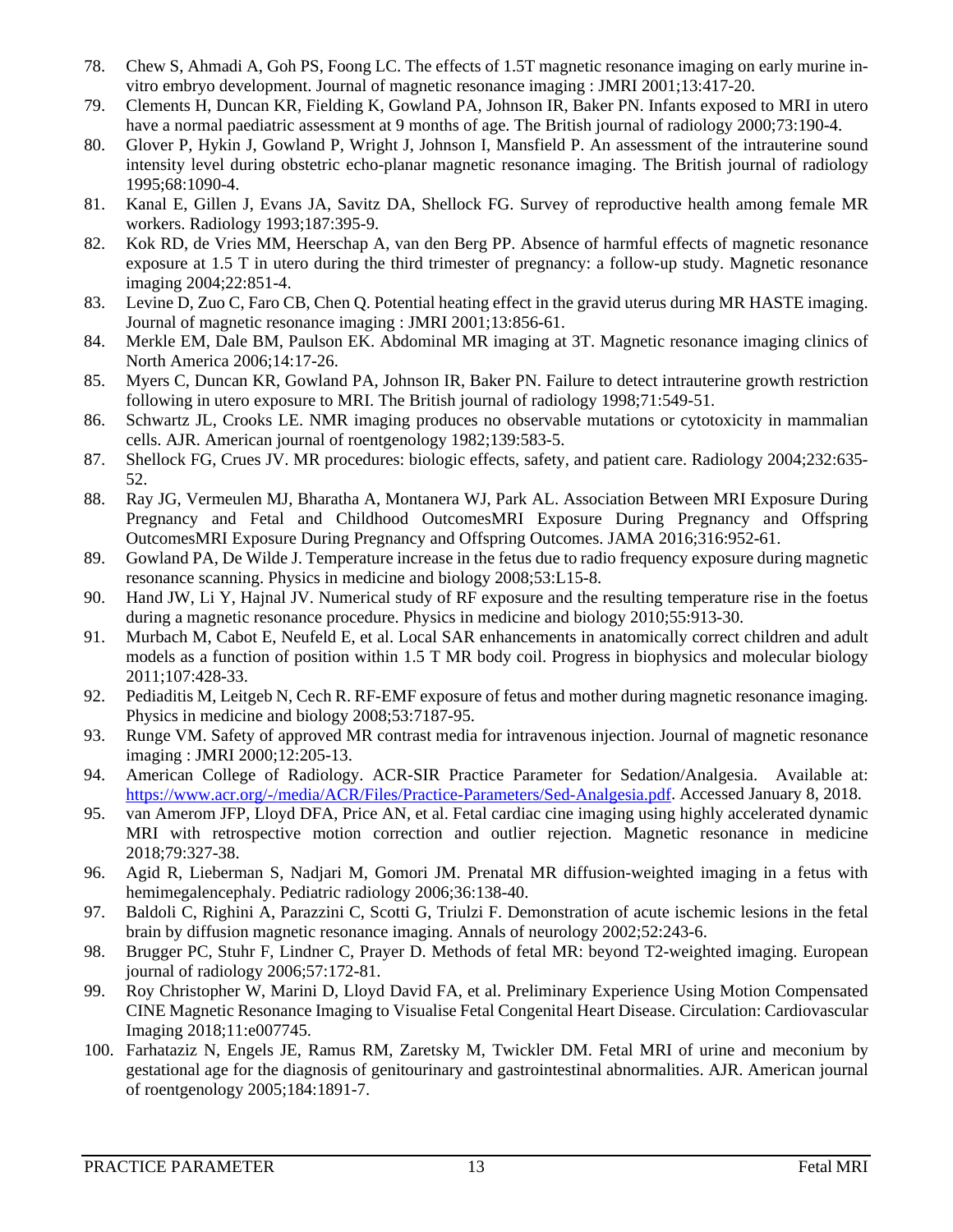- 78. Chew S, Ahmadi A, Goh PS, Foong LC. The effects of 1.5T magnetic resonance imaging on early murine invitro embryo development. Journal of magnetic resonance imaging : JMRI 2001;13:417-20.
- 79. Clements H, Duncan KR, Fielding K, Gowland PA, Johnson IR, Baker PN. Infants exposed to MRI in utero have a normal paediatric assessment at 9 months of age. The British journal of radiology 2000;73:190-4.
- 80. Glover P, Hykin J, Gowland P, Wright J, Johnson I, Mansfield P. An assessment of the intrauterine sound intensity level during obstetric echo-planar magnetic resonance imaging. The British journal of radiology 1995;68:1090-4.
- 81. Kanal E, Gillen J, Evans JA, Savitz DA, Shellock FG. Survey of reproductive health among female MR workers. Radiology 1993;187:395-9.
- 82. Kok RD, de Vries MM, Heerschap A, van den Berg PP. Absence of harmful effects of magnetic resonance exposure at 1.5 T in utero during the third trimester of pregnancy: a follow-up study. Magnetic resonance imaging 2004;22:851-4.
- 83. Levine D, Zuo C, Faro CB, Chen Q. Potential heating effect in the gravid uterus during MR HASTE imaging. Journal of magnetic resonance imaging : JMRI 2001;13:856-61.
- 84. Merkle EM, Dale BM, Paulson EK. Abdominal MR imaging at 3T. Magnetic resonance imaging clinics of North America 2006;14:17-26.
- 85. Myers C, Duncan KR, Gowland PA, Johnson IR, Baker PN. Failure to detect intrauterine growth restriction following in utero exposure to MRI. The British journal of radiology 1998;71:549-51.
- 86. Schwartz JL, Crooks LE. NMR imaging produces no observable mutations or cytotoxicity in mammalian cells. AJR. American journal of roentgenology 1982;139:583-5.
- 87. Shellock FG, Crues JV. MR procedures: biologic effects, safety, and patient care. Radiology 2004;232:635- 52.
- 88. Ray JG, Vermeulen MJ, Bharatha A, Montanera WJ, Park AL. Association Between MRI Exposure During Pregnancy and Fetal and Childhood OutcomesMRI Exposure During Pregnancy and Offspring OutcomesMRI Exposure During Pregnancy and Offspring Outcomes. JAMA 2016;316:952-61.
- <span id="page-12-0"></span>89. Gowland PA, De Wilde J. Temperature increase in the fetus due to radio frequency exposure during magnetic resonance scanning. Physics in medicine and biology 2008;53:L15-8.
- <span id="page-12-1"></span>90. Hand JW, Li Y, Hajnal JV. Numerical study of RF exposure and the resulting temperature rise in the foetus during a magnetic resonance procedure. Physics in medicine and biology 2010;55:913-30.
- <span id="page-12-2"></span>91. Murbach M, Cabot E, Neufeld E, et al. Local SAR enhancements in anatomically correct children and adult models as a function of position within 1.5 T MR body coil. Progress in biophysics and molecular biology 2011;107:428-33.
- <span id="page-12-3"></span>92. Pediaditis M, Leitgeb N, Cech R. RF-EMF exposure of fetus and mother during magnetic resonance imaging. Physics in medicine and biology 2008;53:7187-95.
- <span id="page-12-4"></span>93. Runge VM. Safety of approved MR contrast media for intravenous injection. Journal of magnetic resonance imaging : JMRI 2000;12:205-13.
- <span id="page-12-5"></span>94. American College of Radiology. ACR-SIR Practice Parameter for Sedation/Analgesia. Available at: [https://www.acr.org/-/media/ACR/Files/Practice-Parameters/Sed-Analgesia.pdf.](https://www.acr.org/-/media/ACR/Files/Practice-Parameters/Sed-Analgesia.pdf) Accessed January 8, 2018.
- <span id="page-12-6"></span>95. van Amerom JFP, Lloyd DFA, Price AN, et al. Fetal cardiac cine imaging using highly accelerated dynamic MRI with retrospective motion correction and outlier rejection. Magnetic resonance in medicine 2018;79:327-38.
- <span id="page-12-7"></span>96. Agid R, Lieberman S, Nadjari M, Gomori JM. Prenatal MR diffusion-weighted imaging in a fetus with hemimegalencephaly. Pediatric radiology 2006;36:138-40.
- 97. Baldoli C, Righini A, Parazzini C, Scotti G, Triulzi F. Demonstration of acute ischemic lesions in the fetal brain by diffusion magnetic resonance imaging. Annals of neurology 2002;52:243-6.
- 98. Brugger PC, Stuhr F, Lindner C, Prayer D. Methods of fetal MR: beyond T2-weighted imaging. European journal of radiology 2006;57:172-81.
- <span id="page-12-8"></span>99. Roy Christopher W, Marini D, Lloyd David FA, et al. Preliminary Experience Using Motion Compensated CINE Magnetic Resonance Imaging to Visualise Fetal Congenital Heart Disease. Circulation: Cardiovascular Imaging 2018;11:e007745.
- <span id="page-12-9"></span>100. Farhataziz N, Engels JE, Ramus RM, Zaretsky M, Twickler DM. Fetal MRI of urine and meconium by gestational age for the diagnosis of genitourinary and gastrointestinal abnormalities. AJR. American journal of roentgenology 2005;184:1891-7.